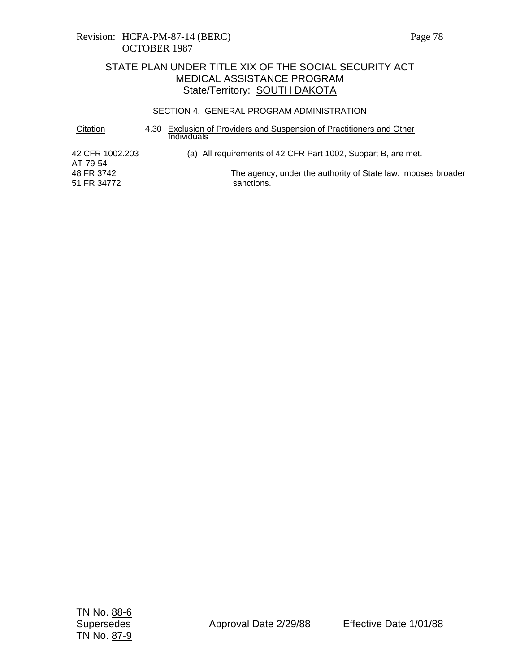### Revision: HCFA-PM-87-14 (BERC) Page 78 OCTOBER 1987

# STATE PLAN UNDER TITLE XIX OF THE SOCIAL SECURITY ACT MEDICAL ASSISTANCE PROGRAM State/Territory: **SOUTH DAKOTA**

#### SECTION 4. GENERAL PROGRAM ADMINISTRATION

| Citation                    | 4.30 Exclusion of Providers and Suspension of Practitioners and Other<br>Individuals |
|-----------------------------|--------------------------------------------------------------------------------------|
| 42 CFR 1002.203<br>AT-79-54 | (a) All requirements of 42 CFR Part 1002, Subpart B, are met.                        |
| 48 FR 3742<br>51 FR 34772   | The agency, under the authority of State law, imposes broader<br>sanctions.          |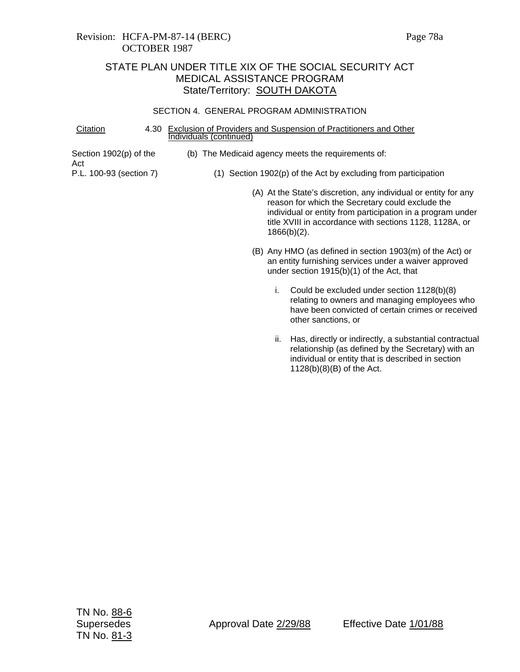### Revision: HCFA-PM-87-14 (BERC) Page 78a OCTOBER 1987

# STATE PLAN UNDER TITLE XIX OF THE SOCIAL SECURITY ACT MEDICAL ASSISTANCE PROGRAM State/Territory: SOUTH DAKOTA

#### SECTION 4. GENERAL PROGRAM ADMINISTRATION

| Citation                        | 4.30 | <b>Exclusion of Providers and Suspension of Practitioners and Other</b><br>Individuals (continued)                                                                                                                                                             |  |  |  |  |  |
|---------------------------------|------|----------------------------------------------------------------------------------------------------------------------------------------------------------------------------------------------------------------------------------------------------------------|--|--|--|--|--|
| Section $1902(p)$ of the<br>Act |      | (b) The Medicaid agency meets the requirements of:                                                                                                                                                                                                             |  |  |  |  |  |
| P.L. 100-93 (section 7)         |      | $(1)$ Section 1902(p) of the Act by excluding from participation                                                                                                                                                                                               |  |  |  |  |  |
|                                 |      | (A) At the State's discretion, any individual or entity for any<br>reason for which the Secretary could exclude the<br>individual or entity from participation in a program under<br>title XVIII in accordance with sections 1128, 1128A, or<br>$1866(b)(2)$ . |  |  |  |  |  |
|                                 |      | (B) Any HMO (as defined in section 1903(m) of the Act) or<br>an entity furnishing services under a waiver approved<br>under section $1915(b)(1)$ of the Act, that                                                                                              |  |  |  |  |  |
|                                 |      | Could be excluded under section 1128(b)(8)<br>i.<br>relating to owners and managing employees who<br>have been convicted of certain crimes or received<br>other sanctions, or                                                                                  |  |  |  |  |  |
|                                 |      | Has, directly or indirectly, a substantial contractual<br>н.                                                                                                                                                                                                   |  |  |  |  |  |

relationship (as defined by the Secretary) with an individual or entity that is described in section  $1128(b)(8)(B)$  of the Act.